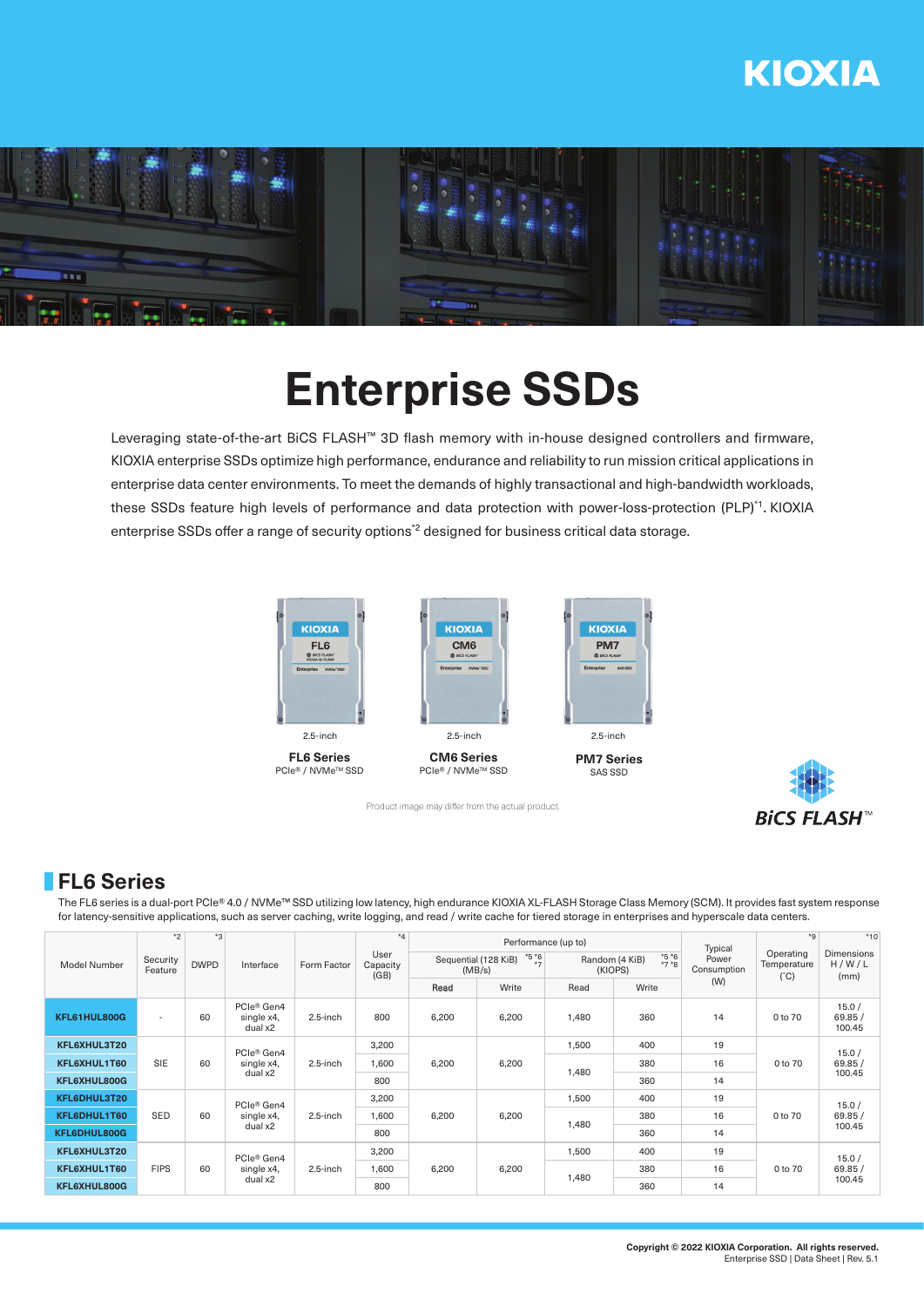# **KIOXIA**



# **Enterprise SSDs**

Leveraging state-of-the-art BiCS FLASH™ 3D flash memory with in-house designed controllers and firmware, KIOXIA enterprise SSDs optimize high performance, endurance and reliability to run mission critical applications in enterprise data center environments. To meet the demands of highly transactional and high-bandwidth workloads, these SSDs feature high levels of performance and data protection with power-loss-protection (PLP)\*1. KIOXIA enterprise SSDs offer a range of security options<sup>\*2</sup> designed for business critical data storage.



**FL6 Series** PCIe<sup>®</sup> / NVMe<sup>™</sup> SSD



PCIe<sup>®</sup> / NVMe<sup>™</sup> SSD



**PM7 Series** SAS SSD



## **FL6 Series**

The FL6 series is a dual-port PCIe® 4.0 / NVMe™ SSD utilizing low latency, high endurance KIOXIA XL-FLASH Storage Class Memory (SCM). It provides fast system response for latency-sensitive applications, such as server caching, write logging, and read / write cache for tiered storage in enterprises and hyperscale data centers.

| Model Number | $*2$<br>Security<br>Feature | $\kappa^*$<br><b>DWPD</b> | Interface                                       | Form Factor | $*_{4}$<br>User<br>Capacity<br>(GB) |                                                    | Performance (up to) |                                                | Typical | $*9$                 | $*10$                                     |                                     |
|--------------|-----------------------------|---------------------------|-------------------------------------------------|-------------|-------------------------------------|----------------------------------------------------|---------------------|------------------------------------------------|---------|----------------------|-------------------------------------------|-------------------------------------|
|              |                             |                           |                                                 |             |                                     | $*5 *6$<br>Sequential (128 KiB)<br>$+ -$<br>(MB/s) |                     | $*5 *6$<br>Random (4 KiB)<br>$*7*8$<br>(KIOPS) |         | Power<br>Consumption | Operating<br>Temperature<br>$(^{\circ}C)$ | <b>Dimensions</b><br>H/W/L<br>(mm)  |
|              |                             |                           |                                                 |             |                                     | Read                                               | Write               | Read                                           | Write   | (W)                  |                                           |                                     |
| KFL61HUL800G | $\overline{\phantom{a}}$    | 60                        | PCIe® Gen4<br>single x4,<br>dual x2             | 2.5-inch    | 800                                 | 6,200                                              | 6,200               | 1,480                                          | 360     | 14                   | 0 to 70                                   | 15.0/<br>69.85/<br>100.45           |
| KFL6XHUL3T20 |                             | 60                        | PCIe® Gen4<br>single x4,<br>dual x2             | 2.5-inch    | 3,200                               | 6,200                                              | 6,200               | 1,500                                          | 400     | 19<br>16             | 0 to 70                                   | 15.0/<br>69.85/<br>100.45           |
| KFL6XHUL1T60 | <b>SIE</b>                  |                           |                                                 |             | 1,600                               |                                                    |                     | 1,480                                          | 380     |                      |                                           |                                     |
| KFL6XHUL800G |                             |                           |                                                 |             | 800                                 |                                                    |                     |                                                | 360     | 14                   |                                           |                                     |
| KFL6DHUL3T20 |                             | 60                        | PCIe <sup>®</sup> Gen4<br>single x4,<br>dual x2 | 2.5-inch    | 3,200                               | 6,200                                              | 6,200               | 1,500                                          | 400     | 19                   |                                           | 15.0/                               |
| KFL6DHUL1T60 | <b>SED</b>                  |                           |                                                 |             | 1,600                               |                                                    |                     | 1,480                                          | 380     | 16                   | 0 to 70                                   | 69.85/<br>100.45<br>15.0/<br>69.85/ |
| KFL6DHUL800G |                             |                           |                                                 |             | 800                                 |                                                    |                     |                                                | 360     | 14                   |                                           |                                     |
| KFL6XHUL3T20 |                             | 60                        | PCIe <sup>®</sup> Gen4<br>single x4,<br>dual x2 | $2.5$ -inch | 3,200                               | 6,200                                              | 6,200               | 1,500                                          | 400     | 19                   |                                           |                                     |
| KFL6XHUL1T60 | <b>FIPS</b>                 |                           |                                                 |             | 1,600                               |                                                    |                     | 1,480                                          | 380     | 16                   | 0 to 70                                   |                                     |
| KFL6XHUL800G |                             |                           |                                                 |             | 800                                 |                                                    |                     |                                                | 360     | 14                   |                                           | 100.45                              |